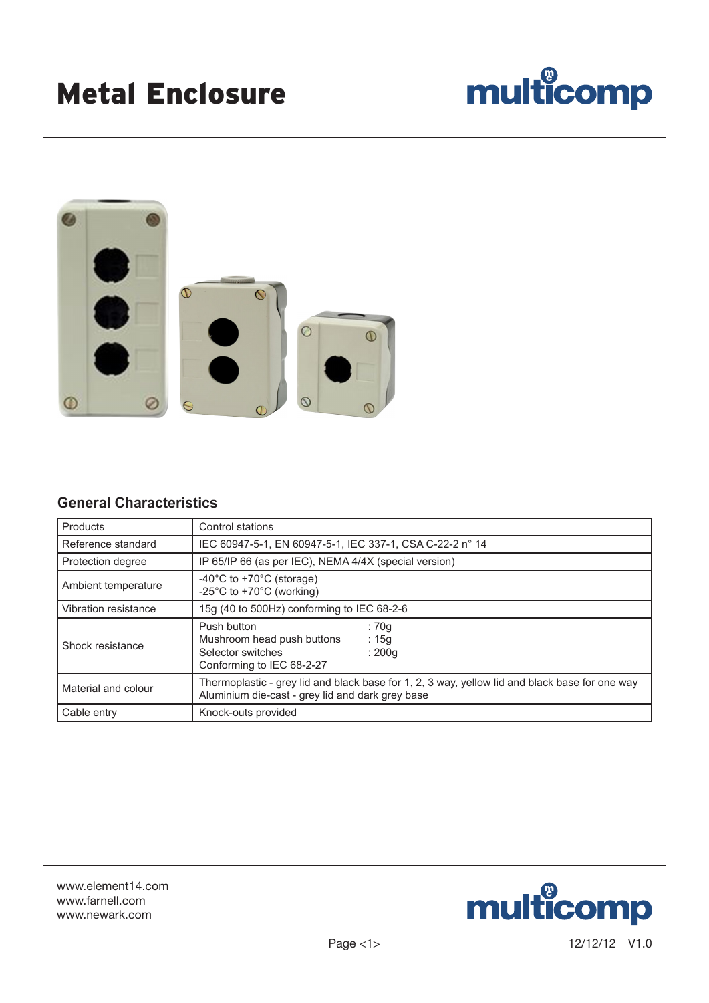## multicomp



## **General Characteristics**

| Products             | Control stations                                                                                                                                   |  |  |  |
|----------------------|----------------------------------------------------------------------------------------------------------------------------------------------------|--|--|--|
| Reference standard   | IEC 60947-5-1, EN 60947-5-1, IEC 337-1, CSA C-22-2 n° 14                                                                                           |  |  |  |
| Protection degree    | IP 65/IP 66 (as per IEC), NEMA 4/4X (special version)                                                                                              |  |  |  |
| Ambient temperature  | -40 $^{\circ}$ C to +70 $^{\circ}$ C (storage)<br>-25°C to +70°C (working)                                                                         |  |  |  |
| Vibration resistance | 15g (40 to 500Hz) conforming to IEC 68-2-6                                                                                                         |  |  |  |
| Shock resistance     | Push button<br>: 70q<br>Mushroom head push buttons<br>: 15g<br>Selector switches<br>: 200q<br>Conforming to IEC 68-2-27                            |  |  |  |
| Material and colour  | Thermoplastic - grey lid and black base for 1, 2, 3 way, yellow lid and black base for one way<br>Aluminium die-cast - grey lid and dark grey base |  |  |  |
| Cable entry          | Knock-outs provided                                                                                                                                |  |  |  |

www.element14.com www.farnell.com www.newark.com